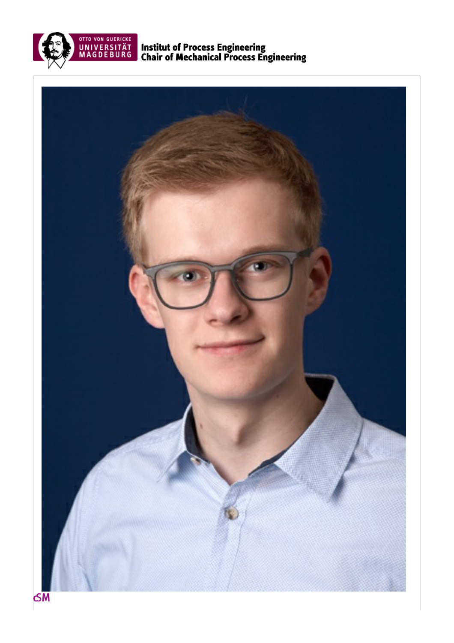

**Institut of Process Engineering<br>Chair of Mechanical Process Engineering** 

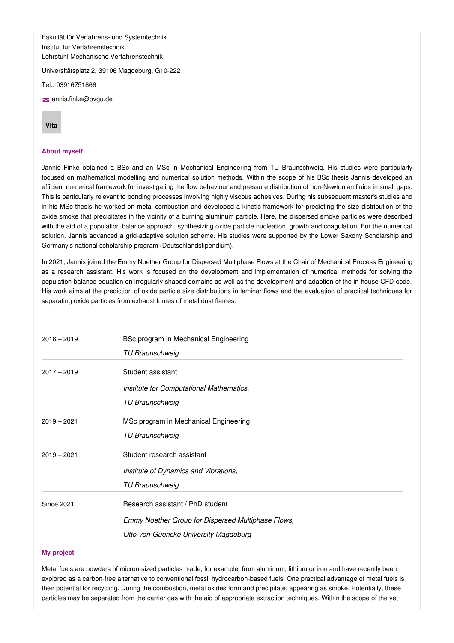Fakultät für Verfahrens- und Systemtechnik Institut für Verfahrenstechnik Lehrstuhl Mechanische Verfahrenstechnik

Universitätsplatz 2, 39106 Magdeburg, G10-222

Tel.: [03916751866](tel: 03916751866)

[jannis.finke@ovgu.de](mailto:jannis.finke@ovgu.de)

## **[Vita](#page-1-0)**

## **About myself**

Jannis Finke obtained a BSc and an MSc in Mechanical Engineering from TU Braunschweig. His studies were particularly focused on mathematical modelling and numerical solution methods. Within the scope of his BSc thesis Jannis developed an efficient numerical framework for investigating the flow behaviour and pressure distribution of non-Newtonian fluids in small gaps. This is particularly relevant to bonding processes involving highly viscous adhesives. During his subsequent master's studies and in his MSc thesis he worked on metal combustion and developed a kinetic framework for predicting the size distribution of the oxide smoke that precipitates in the vicinity of a burning aluminum particle. Here, the dispersed smoke particles were described with the aid of a population balance approach, synthesizing oxide particle nucleation, growth and coagulation. For the numerical solution, Jannis advanced a grid-adaptive solution scheme. His studies were supported by the Lower Saxony Scholarship and Germany's national scholarship program (Deutschlandstipendium).

In 2021, Jannis joined the Emmy Noether Group for Dispersed Multiphase Flows at the Chair of Mechanical Process Engineering as a research assistant. His work is focused on the development and implementation of numerical methods for solving the population balance equation on irregularly shaped domains as well as the development and adaption of the in-house CFD-code. His work aims at the prediction of oxide particle size distributions in laminar flows and the evaluation of practical techniques for separating oxide particles from exhaust fumes of metal dust flames.

<span id="page-1-0"></span>

| $2016 - 2019$     | BSc program in Mechanical Engineering              |
|-------------------|----------------------------------------------------|
|                   | <b>TU Braunschweig</b>                             |
| $2017 - 2019$     | Student assistant                                  |
|                   | Institute for Computational Mathematics,           |
|                   | <b>TU Braunschweig</b>                             |
| $2019 - 2021$     | MSc program in Mechanical Engineering              |
|                   | TU Braunschweig                                    |
| $2019 - 2021$     | Student research assistant                         |
|                   | Institute of Dynamics and Vibrations,              |
|                   | <b>TU Braunschweig</b>                             |
| <b>Since 2021</b> | Research assistant / PhD student                   |
|                   | Emmy Noether Group for Dispersed Multiphase Flows, |
|                   | Otto-von-Guericke University Magdeburg             |

## **My project**

Metal fuels are powders of micron-sized particles made, for example, from aluminum, lithium or iron and have recently been explored as a carbon-free alternative to conventional fossil hydrocarbon-based fuels. One practical advantage of metal fuels is their potential for recycling. During the combustion, metal oxides form and precipitate, appearing as smoke. Potentially, these particles may be separated from the carrier gas with the aid of appropriate extraction techniques. Within the scope of the yet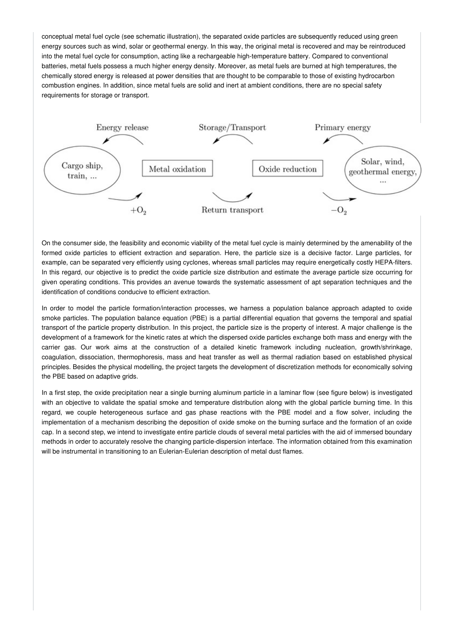conceptual metal fuel cycle (see schematic illustration), the separated oxide particles are subsequently reduced using green energy sources such as wind, solar or geothermal energy. In this way, the original metal is recovered and may be reintroduced into the metal fuel cycle for consumption, acting like a rechargeable high-temperature battery. Compared to conventional batteries, metal fuels possess a much higher energy density. Moreover, as metal fuels are burned at high temperatures, the chemically stored energy is released at power densities that are thought to be comparable to those of existing hydrocarbon combustion engines. In addition, since metal fuels are solid and inert at ambient conditions, there are no special safety requirements for storage or transport.



On the consumer side, the feasibility and economic viability of the metal fuel cycle is mainly determined by the amenability of the formed oxide particles to efficient extraction and separation. Here, the particle size is a decisive factor. Large particles, for example, can be separated very efficiently using cyclones, whereas small particles may require energetically costly HEPA-filters. In this regard, our objective is to predict the oxide particle size distribution and estimate the average particle size occurring for given operating conditions. This provides an avenue towards the systematic assessment of apt separation techniques and the identification of conditions conducive to efficient extraction.

In order to model the particle formation/interaction processes, we harness a population balance approach adapted to oxide smoke particles. The population balance equation (PBE) is a partial differential equation that governs the temporal and spatial transport of the particle property distribution. In this project, the particle size is the property of interest. A major challenge is the development of a framework for the kinetic rates at which the dispersed oxide particles exchange both mass and energy with the carrier gas. Our work aims at the construction of a detailed kinetic framework including nucleation, growth/shrinkage, coagulation, dissociation, thermophoresis, mass and heat transfer as well as thermal radiation based on established physical principles. Besides the physical modelling, the project targets the development of discretization methods for economically solving the PBE based on adaptive grids.

In a first step, the oxide precipitation near a single burning aluminum particle in a laminar flow (see figure below) is investigated with an objective to validate the spatial smoke and temperature distribution along with the global particle burning time. In this regard, we couple heterogeneous surface and gas phase reactions with the PBE model and a flow solver, including the implementation of a mechanism describing the deposition of oxide smoke on the burning surface and the formation of an oxide cap. In a second step, we intend to investigate entire particle clouds of several metal particles with the aid of immersed boundary methods in order to accurately resolve the changing particle-dispersion interface. The information obtained from this examination will be instrumental in transitioning to an Eulerian-Eulerian description of metal dust flames.